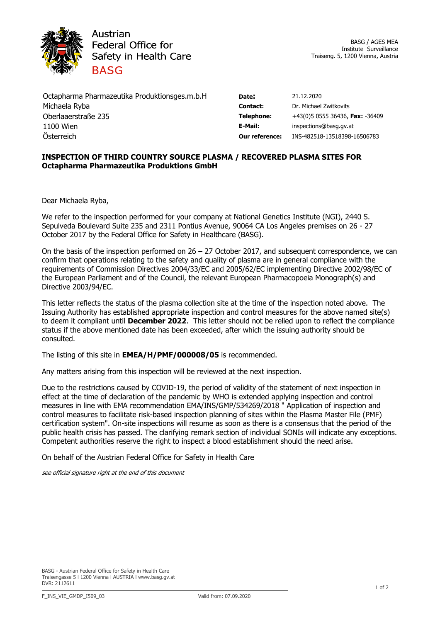

Austrian **Federal Office for** Safety in Health Care **BASG** 

Octapharma Pharmazeutika Produktionsges.m.b.H **Date:** 21.12.2020 Michaela Ryba **Contact:** Dr. Michael Zwitkovits Oberlaaerstraße 235 **Telephone:** +43(0)5 0555 36436, **Fax:** -36409 1100 Wien **E-Mail:** inspections@basg.gv.at Österreich **Our reference:** INS-482518-13518398-16506783

## **INSPECTION OF THIRD COUNTRY SOURCE PLASMA / RECOVERED PLASMA SITES FOR Octapharma Pharmazeutika Produktions GmbH**

Dear Michaela Ryba,

We refer to the inspection performed for your company at National Genetics Institute (NGI), 2440 S. Sepulveda Boulevard Suite 235 and 2311 Pontius Avenue, 90064 CA Los Angeles premises on 26 - 27 October 2017 by the Federal Office for Safety in Healthcare (BASG).

On the basis of the inspection performed on  $26 - 27$  October 2017, and subsequent correspondence, we can confirm that operations relating to the safety and quality of plasma are in general compliance with the requirements of Commission Directives 2004/33/EC and 2005/62/EC implementing Directive 2002/98/EC of the European Parliament and of the Council, the relevant European Pharmacopoeia Monograph(s) and Directive 2003/94/EC.

This letter reflects the status of the plasma collection site at the time of the inspection noted above. The Issuing Authority has established appropriate inspection and control measures for the above named site(s) to deem it compliant until **December 2022**. This letter should not be relied upon to reflect the compliance status if the above mentioned date has been exceeded, after which the issuing authority should be consulted.

The listing of this site in **EMEA/H/PMF/000008/05** is recommended.

Any matters arising from this inspection will be reviewed at the next inspection.

Due to the restrictions caused by COVID-19, the period of validity of the statement of next inspection in effect at the time of declaration of the pandemic by WHO is extended applying inspection and control measures in line with EMA recommendation EMA/INS/GMP/534269/2018 " Application of inspection and control measures to facilitate risk-based inspection planning of sites within the Plasma Master File (PMF) certification system". On-site inspections will resume as soon as there is a consensus that the period of the public health crisis has passed. The clarifying remark section of individual SONIs will indicate any exceptions. Competent authorities reserve the right to inspect a blood establishment should the need arise.

On behalf of the Austrian Federal Office for Safety in Health Care

*see official signature right at the end of this document*